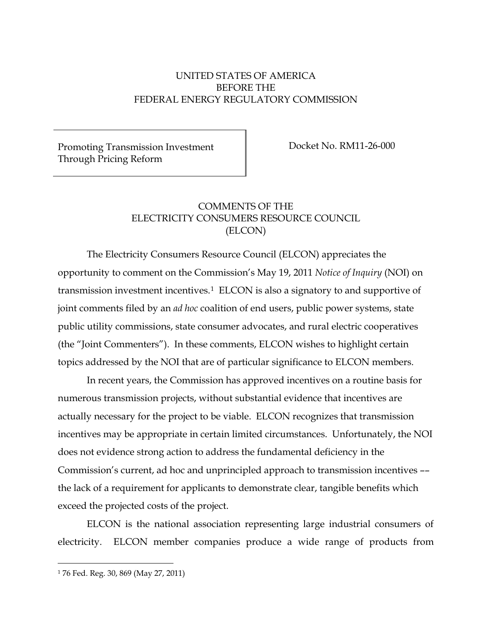# UNITED STATES OF AMERICA BEFORE THE FEDERAL ENERGY REGULATORY COMMISSION

Promoting Transmission Investment Through Pricing Reform

Docket No. RM11-26-000

# COMMENTS OF THE ELECTRICITY CONSUMERS RESOURCE COUNCIL (ELCON)

The Electricity Consumers Resource Council (ELCON) appreciates the opportunity to comment on the Commission's May 19, 2011 *Notice of Inquiry* (NOI) on transmission investment incentives.[1](#page-0-0) ELCON is also a signatory to and supportive of joint comments filed by an *ad hoc* coalition of end users, public power systems, state public utility commissions, state consumer advocates, and rural electric cooperatives (the "Joint Commenters"). In these comments, ELCON wishes to highlight certain topics addressed by the NOI that are of particular significance to ELCON members.

In recent years, the Commission has approved incentives on a routine basis for numerous transmission projects, without substantial evidence that incentives are actually necessary for the project to be viable. ELCON recognizes that transmission incentives may be appropriate in certain limited circumstances. Unfortunately, the NOI does not evidence strong action to address the fundamental deficiency in the Commission's current, ad hoc and unprincipled approach to transmission incentives –– the lack of a requirement for applicants to demonstrate clear, tangible benefits which exceed the projected costs of the project.

ELCON is the national association representing large industrial consumers of electricity. ELCON member companies produce a wide range of products from

<span id="page-0-0"></span> <sup>1</sup> 76 Fed. Reg. 30, 869 (May 27, 2011)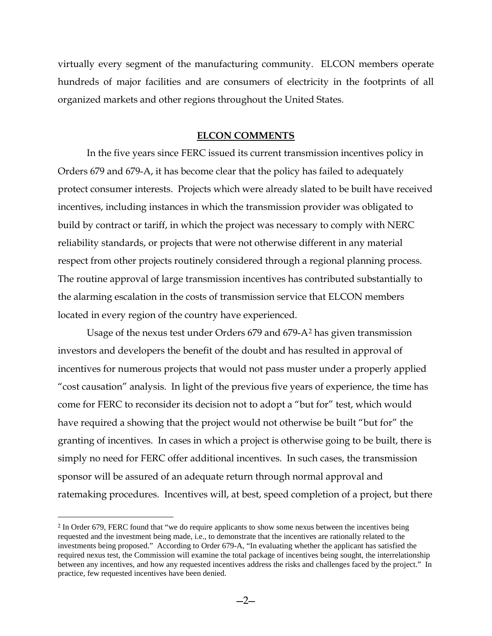virtually every segment of the manufacturing community. ELCON members operate hundreds of major facilities and are consumers of electricity in the footprints of all organized markets and other regions throughout the United States.

## **ELCON COMMENTS**

In the five years since FERC issued its current transmission incentives policy in Orders 679 and 679-A, it has become clear that the policy has failed to adequately protect consumer interests. Projects which were already slated to be built have received incentives, including instances in which the transmission provider was obligated to build by contract or tariff, in which the project was necessary to comply with NERC reliability standards, or projects that were not otherwise different in any material respect from other projects routinely considered through a regional planning process. The routine approval of large transmission incentives has contributed substantially to the alarming escalation in the costs of transmission service that ELCON members located in every region of the country have experienced.

Usage of the nexus test under Orders 679 and 679-A[2](#page-1-0) has given transmission investors and developers the benefit of the doubt and has resulted in approval of incentives for numerous projects that would not pass muster under a properly applied "cost causation" analysis. In light of the previous five years of experience, the time has come for FERC to reconsider its decision not to adopt a "but for" test, which would have required a showing that the project would not otherwise be built "but for" the granting of incentives. In cases in which a project is otherwise going to be built, there is simply no need for FERC offer additional incentives. In such cases, the transmission sponsor will be assured of an adequate return through normal approval and ratemaking procedures. Incentives will, at best, speed completion of a project, but there

<span id="page-1-0"></span> <sup>2</sup> In Order 679, FERC found that "we do require applicants to show some nexus between the incentives being requested and the investment being made, i.e., to demonstrate that the incentives are rationally related to the investments being proposed." According to Order 679-A, "In evaluating whether the applicant has satisfied the required nexus test, the Commission will examine the total package of incentives being sought, the interrelationship between any incentives, and how any requested incentives address the risks and challenges faced by the project." In practice, few requested incentives have been denied.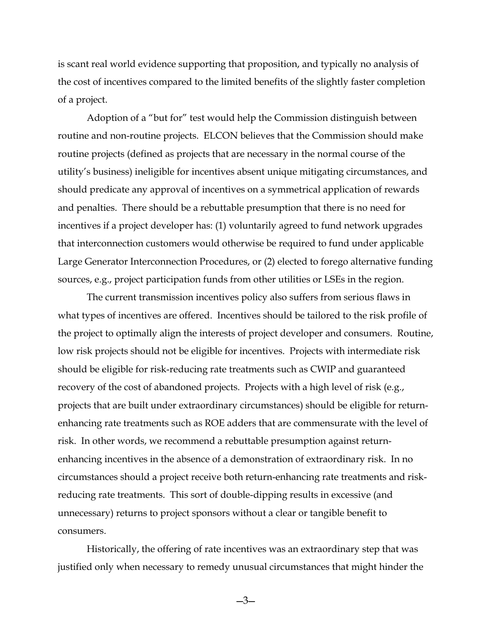is scant real world evidence supporting that proposition, and typically no analysis of the cost of incentives compared to the limited benefits of the slightly faster completion of a project.

Adoption of a "but for" test would help the Commission distinguish between routine and non-routine projects. ELCON believes that the Commission should make routine projects (defined as projects that are necessary in the normal course of the utility's business) ineligible for incentives absent unique mitigating circumstances, and should predicate any approval of incentives on a symmetrical application of rewards and penalties. There should be a rebuttable presumption that there is no need for incentives if a project developer has: (1) voluntarily agreed to fund network upgrades that interconnection customers would otherwise be required to fund under applicable Large Generator Interconnection Procedures, or (2) elected to forego alternative funding sources, e.g., project participation funds from other utilities or LSEs in the region.

The current transmission incentives policy also suffers from serious flaws in what types of incentives are offered. Incentives should be tailored to the risk profile of the project to optimally align the interests of project developer and consumers. Routine, low risk projects should not be eligible for incentives. Projects with intermediate risk should be eligible for risk-reducing rate treatments such as CWIP and guaranteed recovery of the cost of abandoned projects. Projects with a high level of risk (e.g., projects that are built under extraordinary circumstances) should be eligible for returnenhancing rate treatments such as ROE adders that are commensurate with the level of risk. In other words, we recommend a rebuttable presumption against returnenhancing incentives in the absence of a demonstration of extraordinary risk. In no circumstances should a project receive both return-enhancing rate treatments and riskreducing rate treatments. This sort of double-dipping results in excessive (and unnecessary) returns to project sponsors without a clear or tangible benefit to consumers.

Historically, the offering of rate incentives was an extraordinary step that was justified only when necessary to remedy unusual circumstances that might hinder the

—3—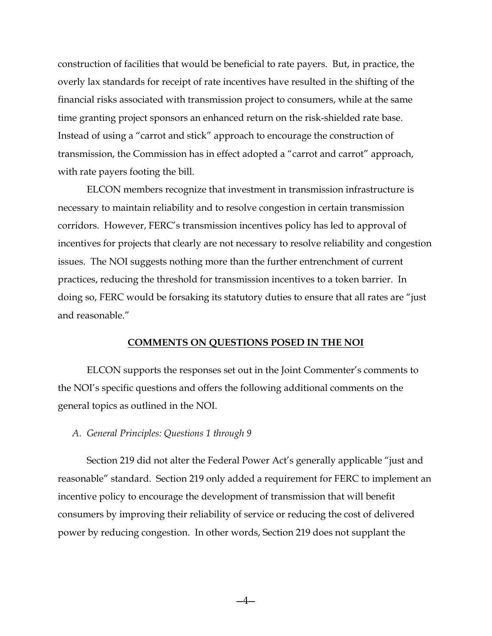construction of facilities that would be beneficial to rate payers. But, in practice, the overly lax standards for receipt of rate incentives have resulted in the shifting of the financial risks associated with transmission project to consumers, while at the same time granting project sponsors an enhanced return on the risk-shielded rate base. Instead of using a "carrot and stick" approach to encourage the construction of transmission, the Commission has in effect adopted a "carrot and carrot" approach, with rate payers footing the bill.

ELCON members recognize that investment in transmission infrastructure is necessary to maintain reliability and to resolve congestion in certain transmission corridors. However, FERC's transmission incentives policy has led to approval of incentives for projects that clearly are not necessary to resolve reliability and congestion issues. The NOI suggests nothing more than the further entrenchment of current practices, reducing the threshold for transmission incentives to a token barrier. In doing so, FERC would be forsaking its statutory duties to ensure that all rates are "just and reasonable."

#### **COMMENTS ON QUESTIONS POSED IN THE NOI**

ELCON supports the responses set out in the Joint Commenter's comments to the NOI's specific questions and offers the following additional comments on the general topics as outlined in the NOI.

### *A. General Principles: Questions 1 through 9*

Section 219 did not alter the Federal Power Act's generally applicable "just and reasonable" standard. Section 219 only added a requirement for FERC to implement an incentive policy to encourage the development of transmission that will benefit consumers by improving their reliability of service or reducing the cost of delivered power by reducing congestion. In other words, Section 219 does not supplant the

—4—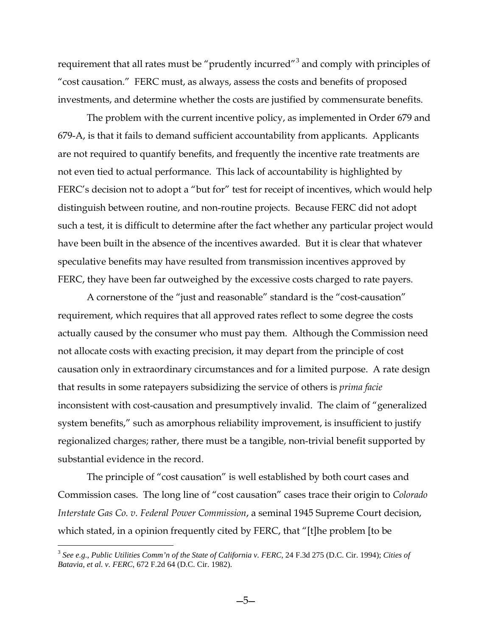requirement that all rates must be "prudently incurred"[3](#page-4-0) and comply with principles of "cost causation." FERC must, as always, assess the costs and benefits of proposed investments, and determine whether the costs are justified by commensurate benefits.

The problem with the current incentive policy, as implemented in Order 679 and 679-A, is that it fails to demand sufficient accountability from applicants. Applicants are not required to quantify benefits, and frequently the incentive rate treatments are not even tied to actual performance. This lack of accountability is highlighted by FERC's decision not to adopt a "but for" test for receipt of incentives, which would help distinguish between routine, and non-routine projects. Because FERC did not adopt such a test, it is difficult to determine after the fact whether any particular project would have been built in the absence of the incentives awarded. But it is clear that whatever speculative benefits may have resulted from transmission incentives approved by FERC, they have been far outweighed by the excessive costs charged to rate payers.

 A cornerstone of the "just and reasonable" standard is the "cost-causation" requirement, which requires that all approved rates reflect to some degree the costs actually caused by the consumer who must pay them. Although the Commission need not allocate costs with exacting precision, it may depart from the principle of cost causation only in extraordinary circumstances and for a limited purpose. A rate design that results in some ratepayers subsidizing the service of others is *prima facie* inconsistent with cost-causation and presumptively invalid. The claim of "generalized system benefits," such as amorphous reliability improvement, is insufficient to justify regionalized charges; rather, there must be a tangible, non-trivial benefit supported by substantial evidence in the record.

The principle of "cost causation" is well established by both court cases and Commission cases. The long line of "cost causation" cases trace their origin to *Colorado Interstate Gas Co. v. Federal Power Commission*, a seminal 1945 Supreme Court decision, which stated, in a opinion frequently cited by FERC, that "[t]he problem [to be

 $\overline{a}$ 

<span id="page-4-0"></span><sup>3</sup> *See e.g.*, *Public Utilities Comm'n of the State of California v. FERC*, 24 F.3d 275 (D.C. Cir. 1994); *Cities of Batavia, et al. v. FERC*, 672 F.2d 64 (D.C. Cir. 1982).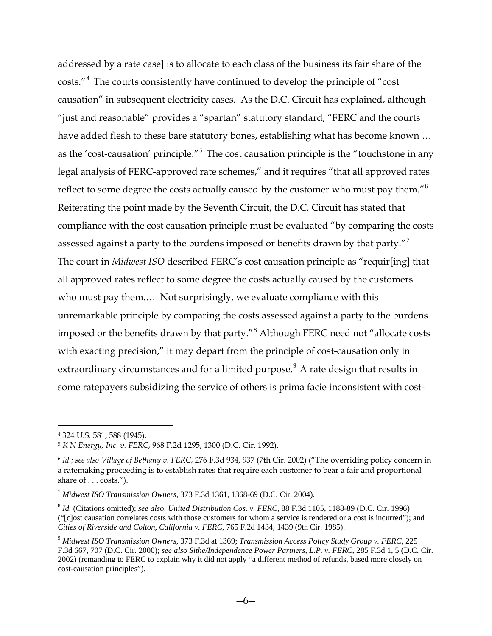addressed by a rate case] is to allocate to each class of the business its fair share of the costs."[4](#page-5-0) The courts consistently have continued to develop the principle of "cost causation" in subsequent electricity cases. As the D.C. Circuit has explained, although "just and reasonable" provides a "spartan" statutory standard, "FERC and the courts have added flesh to these bare statutory bones, establishing what has become known … as the 'cost-causation' principle."<sup>[5](#page-5-1)</sup> The cost causation principle is the "touchstone in any legal analysis of FERC-approved rate schemes," and it requires "that all approved rates reflect to some degree the costs actually caused by the customer who must pay them."[6](#page-5-2) Reiterating the point made by the Seventh Circuit, the D.C. Circuit has stated that compliance with the cost causation principle must be evaluated "by comparing the costs assessed against a party to the burdens imposed or benefits drawn by that party."<sup>[7](#page-5-3)</sup> The court in *Midwest ISO* described FERC's cost causation principle as "requir[ing] that all approved rates reflect to some degree the costs actually caused by the customers who must pay them.… Not surprisingly, we evaluate compliance with this unremarkable principle by comparing the costs assessed against a party to the burdens imposed or the benefits drawn by that party."[8](#page-5-4) Although FERC need not "allocate costs with exacting precision," it may depart from the principle of cost-causation only in extraordinary circumstances and for a limited purpose.<sup>9</sup> A rate design that results in some ratepayers subsidizing the service of others is prima facie inconsistent with cost-

<span id="page-5-0"></span> <sup>4</sup> 324 U.S. 581, 588 (1945).

<span id="page-5-1"></span><sup>5</sup> *K N Energy, Inc. v. FERC*, 968 F.2d 1295, 1300 (D.C. Cir. 1992).

<span id="page-5-2"></span><sup>6</sup> *Id.; see also Village of Bethany v. FERC*, 276 F.3d 934, 937 (7th Cir. 2002) ("The overriding policy concern in a ratemaking proceeding is to establish rates that require each customer to bear a fair and proportional share of . . . costs.").

<span id="page-5-3"></span><sup>7</sup> *Midwest ISO Transmission Owners*, 373 F.3d 1361, 1368-69 (D.C. Cir. 2004).

<span id="page-5-4"></span><sup>8</sup> *Id.* (Citations omitted); *see also, United Distribution Cos. v. FERC*, 88 F.3d 1105, 1188-89 (D.C. Cir. 1996) ("[c]ost causation correlates costs with those customers for whom a service is rendered or a cost is incurred"); and *Cities of Riverside and Colton, California v. FERC*, 765 F.2d 1434, 1439 (9th Cir. 1985).

<span id="page-5-5"></span><sup>9</sup> *Midwest ISO Transmission Owners*, 373 F.3d at 1369; *Transmission Access Policy Study Group v. FERC*, 225 F.3d 667, 707 (D.C. Cir. 2000); *see also Sithe/Independence Power Partners, L.P. v. FERC*, 285 F.3d 1, 5 (D.C. Cir. 2002) (remanding to FERC to explain why it did not apply "a different method of refunds, based more closely on cost-causation principles").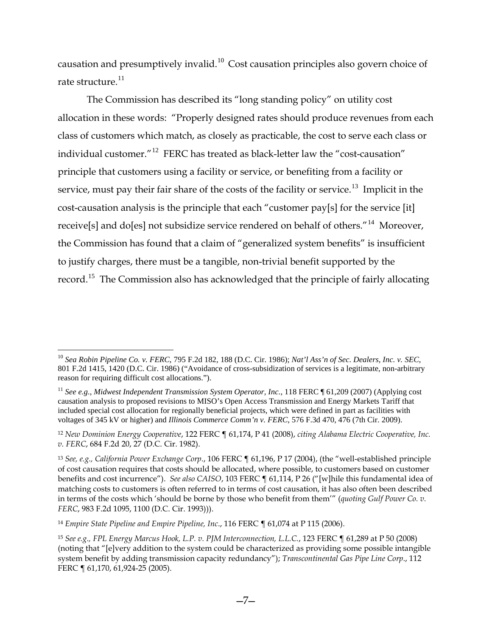causation and presumptively invalid. $10^{\circ}$  $10^{\circ}$  Cost causation principles also govern choice of rate structure.<sup>[11](#page-6-1)</sup>

The Commission has described its "long standing policy" on utility cost allocation in these words: "Properly designed rates should produce revenues from each class of customers which match, as closely as practicable, the cost to serve each class or individual customer.<sup>"[12](#page-6-2)</sup> FERC has treated as black-letter law the "cost-causation" principle that customers using a facility or service, or benefiting from a facility or service, must pay their fair share of the costs of the facility or service.<sup>[13](#page-6-3)</sup> Implicit in the cost-causation analysis is the principle that each "customer pay[s] for the service [it] receive[s] and do[es] not subsidize service rendered on behalf of others."[14](#page-6-4) Moreover, the Commission has found that a claim of "generalized system benefits" is insufficient to justify charges, there must be a tangible, non-trivial benefit supported by the record.<sup>[15](#page-6-5)</sup> The Commission also has acknowledged that the principle of fairly allocating

<u>.</u>

<span id="page-6-0"></span><sup>10</sup> *Sea Robin Pipeline Co. v. FERC*, 795 F.2d 182, 188 (D.C. Cir. 1986); *Nat'l Ass'n of Sec. Dealers, Inc. v. SEC*, 801 F.2d 1415, 1420 (D.C. Cir. 1986) ("Avoidance of cross-subsidization of services is a legitimate, non-arbitrary reason for requiring difficult cost allocations.").

<span id="page-6-1"></span><sup>&</sup>lt;sup>11</sup> See e.g., Midwest Independent Transmission System Operator, Inc., 118 FERC ¶ 61,209 (2007) (Applying cost causation analysis to proposed revisions to MISO's Open Access Transmission and Energy Markets Tariff that included special cost allocation for regionally beneficial projects, which were defined in part as facilities with voltages of 345 kV or higher) and *Illinois Commerce Comm'n v. FERC*, 576 F.3d 470, 476 (7th Cir. 2009).

<span id="page-6-2"></span><sup>12</sup> *New Dominion Energy Cooperative*, 122 FERC ¶ 61,174, P 41 (2008), *citing Alabama Electric Cooperative, Inc. v. FERC*, 684 F.2d 20, 27 (D.C. Cir. 1982).

<span id="page-6-3"></span><sup>13</sup> *See, e.g., California Power Exchange Corp.*, 106 FERC ¶ 61,196, P 17 (2004), (the "well-established principle of cost causation requires that costs should be allocated, where possible, to customers based on customer benefits and cost incurrence"). *See also CAISO*, 103 FERC ¶ 61,114, P 26 ("[w]hile this fundamental idea of matching costs to customers is often referred to in terms of cost causation, it has also often been described in terms of the costs which 'should be borne by those who benefit from them'" (*quoting Gulf Power Co. v. FERC*, 983 F.2d 1095, 1100 (D.C. Cir. 1993))).

<span id="page-6-4"></span><sup>14</sup> *Empire State Pipeline and Empire Pipeline, Inc*., 116 FERC ¶ 61,074 at P 115 (2006).

<span id="page-6-5"></span><sup>15</sup> *See e.g., FPL Energy Marcus Hook, L.P. v. PJM Interconnection, L.L.C.*, 123 FERC ¶ 61,289 at P 50 (2008) (noting that "[e]very addition to the system could be characterized as providing some possible intangible system benefit by adding transmission capacity redundancy"); *Transcontinental Gas Pipe Line Corp*., 112 FERC ¶ 61,170, 61,924-25 (2005).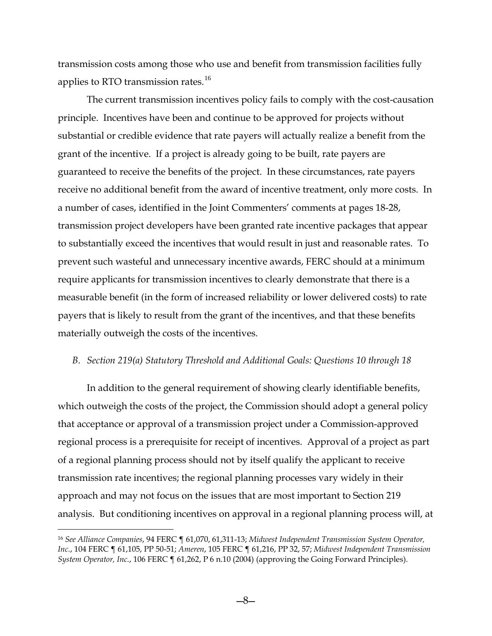transmission costs among those who use and benefit from transmission facilities fully applies to RTO transmission rates.<sup>16</sup>

The current transmission incentives policy fails to comply with the cost-causation principle. Incentives have been and continue to be approved for projects without substantial or credible evidence that rate payers will actually realize a benefit from the grant of the incentive. If a project is already going to be built, rate payers are guaranteed to receive the benefits of the project. In these circumstances, rate payers receive no additional benefit from the award of incentive treatment, only more costs. In a number of cases, identified in the Joint Commenters' comments at pages 18-28, transmission project developers have been granted rate incentive packages that appear to substantially exceed the incentives that would result in just and reasonable rates. To prevent such wasteful and unnecessary incentive awards, FERC should at a minimum require applicants for transmission incentives to clearly demonstrate that there is a measurable benefit (in the form of increased reliability or lower delivered costs) to rate payers that is likely to result from the grant of the incentives, and that these benefits materially outweigh the costs of the incentives.

### *B. Section 219(a) Statutory Threshold and Additional Goals: Questions 10 through 18*

In addition to the general requirement of showing clearly identifiable benefits, which outweigh the costs of the project, the Commission should adopt a general policy that acceptance or approval of a transmission project under a Commission-approved regional process is a prerequisite for receipt of incentives. Approval of a project as part of a regional planning process should not by itself qualify the applicant to receive transmission rate incentives; the regional planning processes vary widely in their approach and may not focus on the issues that are most important to Section 219 analysis. But conditioning incentives on approval in a regional planning process will, at

<span id="page-7-0"></span> <sup>16</sup> *See Alliance Companies*, 94 FERC ¶ 61,070, 61,311-13; *Midwest Independent Transmission System Operator, Inc.*, 104 FERC ¶ 61,105, PP 50-51; *Ameren*, 105 FERC ¶ 61,216, PP 32, 57; *Midwest Independent Transmission System Operator, Inc.*, 106 FERC ¶ 61,262, P 6 n.10 (2004) (approving the Going Forward Principles).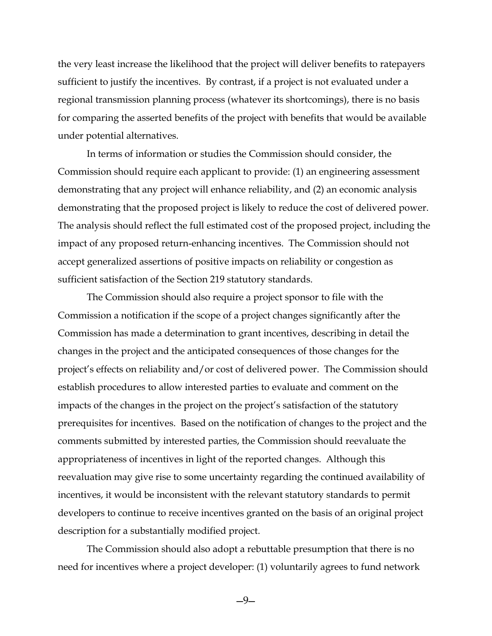the very least increase the likelihood that the project will deliver benefits to ratepayers sufficient to justify the incentives. By contrast, if a project is not evaluated under a regional transmission planning process (whatever its shortcomings), there is no basis for comparing the asserted benefits of the project with benefits that would be available under potential alternatives.

In terms of information or studies the Commission should consider, the Commission should require each applicant to provide: (1) an engineering assessment demonstrating that any project will enhance reliability, and (2) an economic analysis demonstrating that the proposed project is likely to reduce the cost of delivered power. The analysis should reflect the full estimated cost of the proposed project, including the impact of any proposed return-enhancing incentives. The Commission should not accept generalized assertions of positive impacts on reliability or congestion as sufficient satisfaction of the Section 219 statutory standards.

The Commission should also require a project sponsor to file with the Commission a notification if the scope of a project changes significantly after the Commission has made a determination to grant incentives, describing in detail the changes in the project and the anticipated consequences of those changes for the project's effects on reliability and/or cost of delivered power. The Commission should establish procedures to allow interested parties to evaluate and comment on the impacts of the changes in the project on the project's satisfaction of the statutory prerequisites for incentives. Based on the notification of changes to the project and the comments submitted by interested parties, the Commission should reevaluate the appropriateness of incentives in light of the reported changes. Although this reevaluation may give rise to some uncertainty regarding the continued availability of incentives, it would be inconsistent with the relevant statutory standards to permit developers to continue to receive incentives granted on the basis of an original project description for a substantially modified project.

The Commission should also adopt a rebuttable presumption that there is no need for incentives where a project developer: (1) voluntarily agrees to fund network

—9—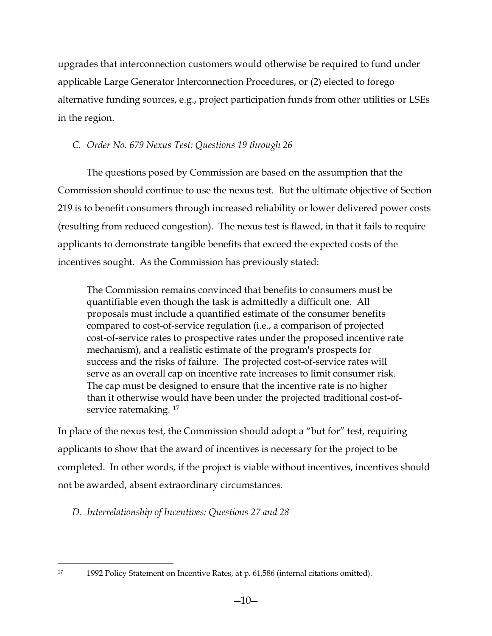upgrades that interconnection customers would otherwise be required to fund under applicable Large Generator Interconnection Procedures, or (2) elected to forego alternative funding sources, e.g., project participation funds from other utilities or LSEs in the region.

# *C. Order No. 679 Nexus Test: Questions 19 through 26*

The questions posed by Commission are based on the assumption that the Commission should continue to use the nexus test. But the ultimate objective of Section 219 is to benefit consumers through increased reliability or lower delivered power costs (resulting from reduced congestion). The nexus test is flawed, in that it fails to require applicants to demonstrate tangible benefits that exceed the expected costs of the incentives sought. As the Commission has previously stated:

The Commission remains convinced that benefits to consumers must be quantifiable even though the task is admittedly a difficult one. All proposals must include a quantified estimate of the consumer benefits compared to cost-of-service regulation (i.e., a comparison of projected cost-of-service rates to prospective rates under the proposed incentive rate mechanism), and a realistic estimate of the program's prospects for success and the risks of failure. The projected cost-of-service rates will serve as an overall cap on incentive rate increases to limit consumer risk. The cap must be designed to ensure that the incentive rate is no higher than it otherwise would have been under the projected traditional cost-of-service ratemaking.<sup>[17](#page-9-0)</sup>

In place of the nexus test, the Commission should adopt a "but for" test, requiring applicants to show that the award of incentives is necessary for the project to be completed. In other words, if the project is viable without incentives, incentives should not be awarded, absent extraordinary circumstances.

*D. Interrelationship of Incentives: Questions 27 and 28*

<span id="page-9-0"></span> <sup>17</sup> 1992 Policy Statement on Incentive Rates, at p. 61,586 (internal citations omitted).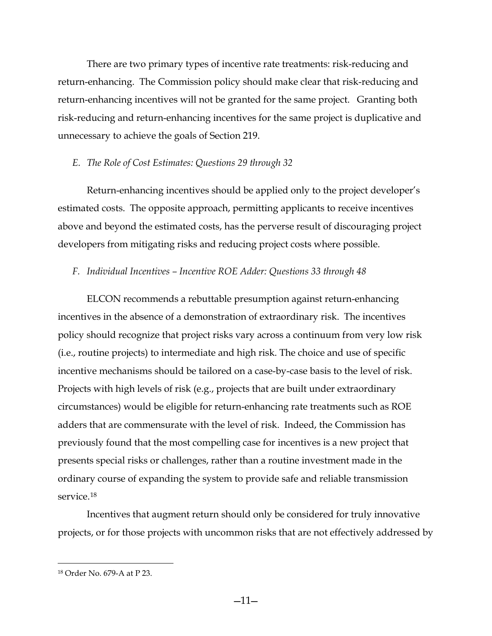There are two primary types of incentive rate treatments: risk-reducing and return-enhancing. The Commission policy should make clear that risk-reducing and return-enhancing incentives will not be granted for the same project. Granting both risk-reducing and return-enhancing incentives for the same project is duplicative and unnecessary to achieve the goals of Section 219.

## *E. The Role of Cost Estimates: Questions 29 through 32*

Return-enhancing incentives should be applied only to the project developer's estimated costs. The opposite approach, permitting applicants to receive incentives above and beyond the estimated costs, has the perverse result of discouraging project developers from mitigating risks and reducing project costs where possible.

## *F. Individual Incentives – Incentive ROE Adder: Questions 33 through 48*

ELCON recommends a rebuttable presumption against return-enhancing incentives in the absence of a demonstration of extraordinary risk. The incentives policy should recognize that project risks vary across a continuum from very low risk (i.e., routine projects) to intermediate and high risk. The choice and use of specific incentive mechanisms should be tailored on a case-by-case basis to the level of risk. Projects with high levels of risk (e.g., projects that are built under extraordinary circumstances) would be eligible for return-enhancing rate treatments such as ROE adders that are commensurate with the level of risk. Indeed, the Commission has previously found that the most compelling case for incentives is a new project that presents special risks or challenges, rather than a routine investment made in the ordinary course of expanding the system to provide safe and reliable transmission service.[18](#page-10-0)

Incentives that augment return should only be considered for truly innovative projects, or for those projects with uncommon risks that are not effectively addressed by

—11—

<span id="page-10-0"></span> <sup>18</sup> Order No. 679-A at P 23.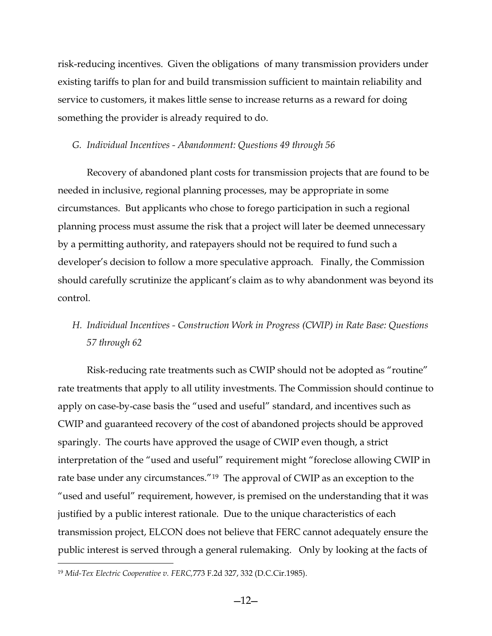risk-reducing incentives. Given the obligations of many transmission providers under existing tariffs to plan for and build transmission sufficient to maintain reliability and service to customers, it makes little sense to increase returns as a reward for doing something the provider is already required to do.

## *G. Individual Incentives - Abandonment: Questions 49 through 56*

Recovery of abandoned plant costs for transmission projects that are found to be needed in inclusive, regional planning processes, may be appropriate in some circumstances. But applicants who chose to forego participation in such a regional planning process must assume the risk that a project will later be deemed unnecessary by a permitting authority, and ratepayers should not be required to fund such a developer's decision to follow a more speculative approach. Finally, the Commission should carefully scrutinize the applicant's claim as to why abandonment was beyond its control.

# *H. Individual Incentives - Construction Work in Progress (CWIP) in Rate Base: Questions 57 through 62*

Risk-reducing rate treatments such as CWIP should not be adopted as "routine" rate treatments that apply to all utility investments. The Commission should continue to apply on case-by-case basis the "used and useful" standard, and incentives such as CWIP and guaranteed recovery of the cost of abandoned projects should be approved sparingly. The courts have approved the usage of CWIP even though, a strict interpretation of the "used and useful" requirement might "foreclose allowing CWIP in rate base under any circumstances."[19](#page-11-0) The approval of CWIP as an exception to the "used and useful" requirement, however, is premised on the understanding that it was justified by a public interest rationale. Due to the unique characteristics of each transmission project, ELCON does not believe that FERC cannot adequately ensure the public interest is served through a general rulemaking. Only by looking at the facts of

<span id="page-11-0"></span> <sup>19</sup> *Mid-Tex Electric Cooperative v. FERC,*773 F.2d 327, 332 (D.C.Cir.1985).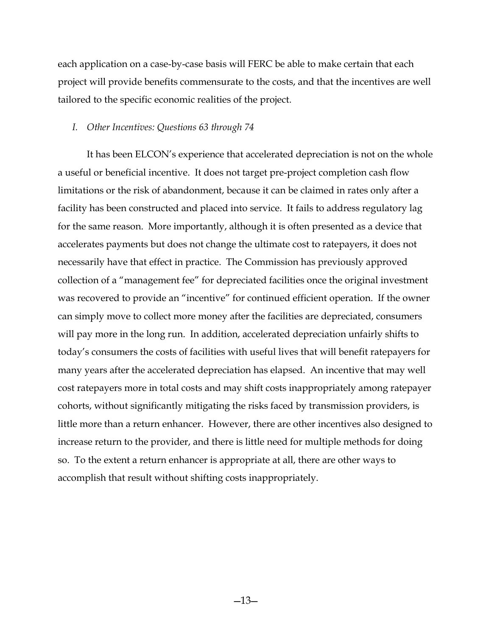each application on a case-by-case basis will FERC be able to make certain that each project will provide benefits commensurate to the costs, and that the incentives are well tailored to the specific economic realities of the project.

### *I. Other Incentives: Questions 63 through 74*

It has been ELCON's experience that accelerated depreciation is not on the whole a useful or beneficial incentive. It does not target pre-project completion cash flow limitations or the risk of abandonment, because it can be claimed in rates only after a facility has been constructed and placed into service. It fails to address regulatory lag for the same reason. More importantly, although it is often presented as a device that accelerates payments but does not change the ultimate cost to ratepayers, it does not necessarily have that effect in practice. The Commission has previously approved collection of a "management fee" for depreciated facilities once the original investment was recovered to provide an "incentive" for continued efficient operation. If the owner can simply move to collect more money after the facilities are depreciated, consumers will pay more in the long run. In addition, accelerated depreciation unfairly shifts to today's consumers the costs of facilities with useful lives that will benefit ratepayers for many years after the accelerated depreciation has elapsed. An incentive that may well cost ratepayers more in total costs and may shift costs inappropriately among ratepayer cohorts, without significantly mitigating the risks faced by transmission providers, is little more than a return enhancer. However, there are other incentives also designed to increase return to the provider, and there is little need for multiple methods for doing so. To the extent a return enhancer is appropriate at all, there are other ways to accomplish that result without shifting costs inappropriately.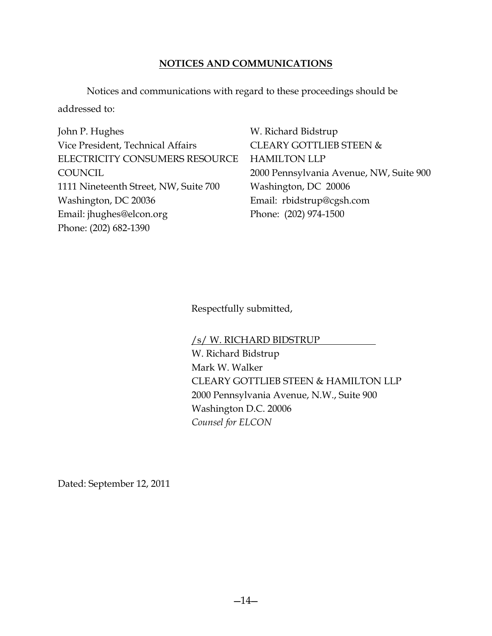# **NOTICES AND COMMUNICATIONS**

Notices and communications with regard to these proceedings should be addressed to:

John P. Hughes Vice President, Technical Affairs ELECTRICITY CONSUMERS RESOURCE **COUNCIL** 1111 Nineteenth Street, NW, Suite 700 Washington, DC 20036 Email: jhughes@elcon.org Phone: (202) 682-1390

W. Richard Bidstrup CLEARY GOTTLIEB STEEN & HAMILTON LLP 2000 Pennsylvania Avenue, NW, Suite 900 Washington, DC 20006 Email: rbidstrup@cgsh.com Phone: (202) 974-1500

Respectfully submitted,

/s/ W. RICHARD BIDSTRUP W. Richard Bidstrup Mark W. Walker CLEARY GOTTLIEB STEEN & HAMILTON LLP 2000 Pennsylvania Avenue, N.W., Suite 900 Washington D.C. 20006 *Counsel for ELCON*

Dated: September 12, 2011